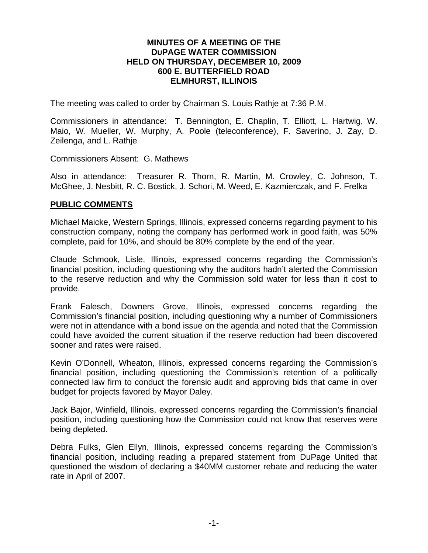#### **MINUTES OF A MEETING OF THE DUPAGE WATER COMMISSION HELD ON THURSDAY, DECEMBER 10, 2009 600 E. BUTTERFIELD ROAD ELMHURST, ILLINOIS**

The meeting was called to order by Chairman S. Louis Rathje at 7:36 P.M.

Commissioners in attendance: T. Bennington, E. Chaplin, T. Elliott, L. Hartwig, W. Maio, W. Mueller, W. Murphy, A. Poole (teleconference), F. Saverino, J. Zay, D. Zeilenga, and L. Rathje

Commissioners Absent: G. Mathews

Also in attendance: Treasurer R. Thorn, R. Martin, M. Crowley, C. Johnson, T. McGhee, J. Nesbitt, R. C. Bostick, J. Schori, M. Weed, E. Kazmierczak, and F. Frelka

#### **PUBLIC COMMENTS**

Michael Maicke, Western Springs, Illinois, expressed concerns regarding payment to his construction company, noting the company has performed work in good faith, was 50% complete, paid for 10%, and should be 80% complete by the end of the year.

Claude Schmook, Lisle, Illinois, expressed concerns regarding the Commission's financial position, including questioning why the auditors hadn't alerted the Commission to the reserve reduction and why the Commission sold water for less than it cost to provide.

Frank Falesch, Downers Grove, Illinois, expressed concerns regarding the Commission's financial position, including questioning why a number of Commissioners were not in attendance with a bond issue on the agenda and noted that the Commission could have avoided the current situation if the reserve reduction had been discovered sooner and rates were raised.

Kevin O'Donnell, Wheaton, Illinois, expressed concerns regarding the Commission's financial position, including questioning the Commission's retention of a politically connected law firm to conduct the forensic audit and approving bids that came in over budget for projects favored by Mayor Daley.

Jack Bajor, Winfield, Illinois, expressed concerns regarding the Commission's financial position, including questioning how the Commission could not know that reserves were being depleted.

Debra Fulks, Glen Ellyn, Illinois, expressed concerns regarding the Commission's financial position, including reading a prepared statement from DuPage United that questioned the wisdom of declaring a \$40MM customer rebate and reducing the water rate in April of 2007.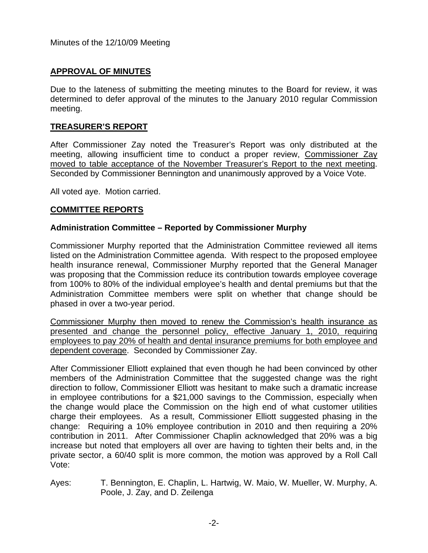#### **APPROVAL OF MINUTES**

Due to the lateness of submitting the meeting minutes to the Board for review, it was determined to defer approval of the minutes to the January 2010 regular Commission meeting.

#### **TREASURER'S REPORT**

After Commissioner Zay noted the Treasurer's Report was only distributed at the meeting, allowing insufficient time to conduct a proper review, Commissioner Zay moved to table acceptance of the November Treasurer's Report to the next meeting. Seconded by Commissioner Bennington and unanimously approved by a Voice Vote.

All voted aye. Motion carried.

### **COMMITTEE REPORTS**

### **Administration Committee – Reported by Commissioner Murphy**

Commissioner Murphy reported that the Administration Committee reviewed all items listed on the Administration Committee agenda. With respect to the proposed employee health insurance renewal, Commissioner Murphy reported that the General Manager was proposing that the Commission reduce its contribution towards employee coverage from 100% to 80% of the individual employee's health and dental premiums but that the Administration Committee members were split on whether that change should be phased in over a two-year period.

Commissioner Murphy then moved to renew the Commission's health insurance as presented and change the personnel policy, effective January 1, 2010, requiring employees to pay 20% of health and dental insurance premiums for both employee and dependent coverage. Seconded by Commissioner Zay.

After Commissioner Elliott explained that even though he had been convinced by other members of the Administration Committee that the suggested change was the right direction to follow, Commissioner Elliott was hesitant to make such a dramatic increase in employee contributions for a \$21,000 savings to the Commission, especially when the change would place the Commission on the high end of what customer utilities charge their employees. As a result, Commissioner Elliott suggested phasing in the change: Requiring a 10% employee contribution in 2010 and then requiring a 20% contribution in 2011. After Commissioner Chaplin acknowledged that 20% was a big increase but noted that employers all over are having to tighten their belts and, in the private sector, a 60/40 split is more common, the motion was approved by a Roll Call Vote:

Ayes: T. Bennington, E. Chaplin, L. Hartwig, W. Maio, W. Mueller, W. Murphy, A. Poole, J. Zay, and D. Zeilenga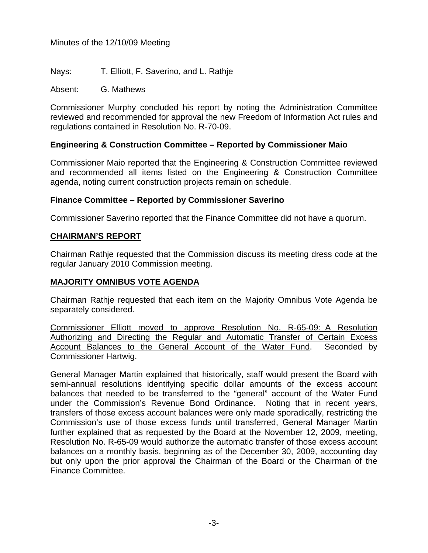Nays: T. Elliott, F. Saverino, and L. Rathje

Absent: G. Mathews

Commissioner Murphy concluded his report by noting the Administration Committee reviewed and recommended for approval the new Freedom of Information Act rules and regulations contained in Resolution No. R-70-09.

# **Engineering & Construction Committee – Reported by Commissioner Maio**

Commissioner Maio reported that the Engineering & Construction Committee reviewed and recommended all items listed on the Engineering & Construction Committee agenda, noting current construction projects remain on schedule.

### **Finance Committee – Reported by Commissioner Saverino**

Commissioner Saverino reported that the Finance Committee did not have a quorum.

# **CHAIRMAN'S REPORT**

Chairman Rathje requested that the Commission discuss its meeting dress code at the regular January 2010 Commission meeting.

### **MAJORITY OMNIBUS VOTE AGENDA**

Chairman Rathje requested that each item on the Majority Omnibus Vote Agenda be separately considered.

Commissioner Elliott moved to approve Resolution No. R-65-09: A Resolution Authorizing and Directing the Regular and Automatic Transfer of Certain Excess Account Balances to the General Account of the Water Fund. Seconded by Commissioner Hartwig.

General Manager Martin explained that historically, staff would present the Board with semi-annual resolutions identifying specific dollar amounts of the excess account balances that needed to be transferred to the "general" account of the Water Fund under the Commission's Revenue Bond Ordinance. Noting that in recent years, transfers of those excess account balances were only made sporadically, restricting the Commission's use of those excess funds until transferred, General Manager Martin further explained that as requested by the Board at the November 12, 2009, meeting, Resolution No. R-65-09 would authorize the automatic transfer of those excess account balances on a monthly basis, beginning as of the December 30, 2009, accounting day but only upon the prior approval the Chairman of the Board or the Chairman of the Finance Committee.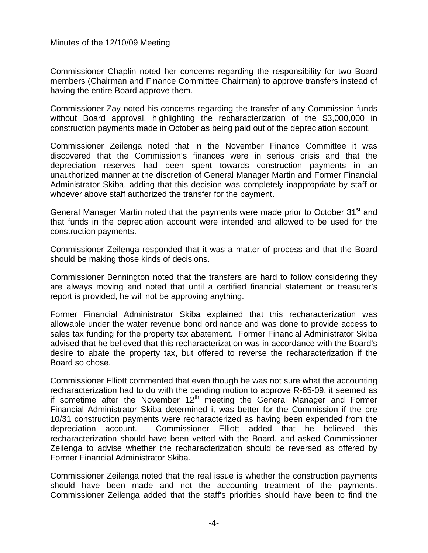Commissioner Chaplin noted her concerns regarding the responsibility for two Board members (Chairman and Finance Committee Chairman) to approve transfers instead of having the entire Board approve them.

Commissioner Zay noted his concerns regarding the transfer of any Commission funds without Board approval, highlighting the recharacterization of the \$3,000,000 in construction payments made in October as being paid out of the depreciation account.

Commissioner Zeilenga noted that in the November Finance Committee it was discovered that the Commission's finances were in serious crisis and that the depreciation reserves had been spent towards construction payments in an unauthorized manner at the discretion of General Manager Martin and Former Financial Administrator Skiba, adding that this decision was completely inappropriate by staff or whoever above staff authorized the transfer for the payment.

General Manager Martin noted that the payments were made prior to October 31<sup>st</sup> and that funds in the depreciation account were intended and allowed to be used for the construction payments.

Commissioner Zeilenga responded that it was a matter of process and that the Board should be making those kinds of decisions.

Commissioner Bennington noted that the transfers are hard to follow considering they are always moving and noted that until a certified financial statement or treasurer's report is provided, he will not be approving anything.

Former Financial Administrator Skiba explained that this recharacterization was allowable under the water revenue bond ordinance and was done to provide access to sales tax funding for the property tax abatement. Former Financial Administrator Skiba advised that he believed that this recharacterization was in accordance with the Board's desire to abate the property tax, but offered to reverse the recharacterization if the Board so chose.

Commissioner Elliott commented that even though he was not sure what the accounting recharacterization had to do with the pending motion to approve R-65-09, it seemed as if sometime after the November  $12<sup>th</sup>$  meeting the General Manager and Former Financial Administrator Skiba determined it was better for the Commission if the pre 10/31 construction payments were recharacterized as having been expended from the depreciation account. Commissioner Elliott added that he believed this recharacterization should have been vetted with the Board, and asked Commissioner Zeilenga to advise whether the recharacterization should be reversed as offered by Former Financial Administrator Skiba.

Commissioner Zeilenga noted that the real issue is whether the construction payments should have been made and not the accounting treatment of the payments. Commissioner Zeilenga added that the staff's priorities should have been to find the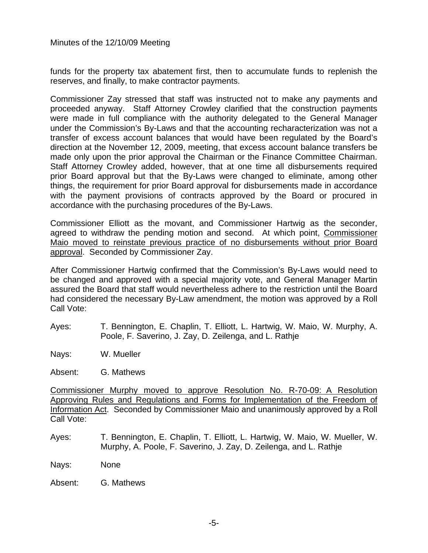funds for the property tax abatement first, then to accumulate funds to replenish the reserves, and finally, to make contractor payments.

Commissioner Zay stressed that staff was instructed not to make any payments and proceeded anyway. Staff Attorney Crowley clarified that the construction payments were made in full compliance with the authority delegated to the General Manager under the Commission's By-Laws and that the accounting recharacterization was not a transfer of excess account balances that would have been regulated by the Board's direction at the November 12, 2009, meeting, that excess account balance transfers be made only upon the prior approval the Chairman or the Finance Committee Chairman. Staff Attorney Crowley added, however, that at one time all disbursements required prior Board approval but that the By-Laws were changed to eliminate, among other things, the requirement for prior Board approval for disbursements made in accordance with the payment provisions of contracts approved by the Board or procured in accordance with the purchasing procedures of the By-Laws.

Commissioner Elliott as the movant, and Commissioner Hartwig as the seconder, agreed to withdraw the pending motion and second. At which point, Commissioner Maio moved to reinstate previous practice of no disbursements without prior Board approval. Seconded by Commissioner Zay.

After Commissioner Hartwig confirmed that the Commission's By-Laws would need to be changed and approved with a special majority vote, and General Manager Martin assured the Board that staff would nevertheless adhere to the restriction until the Board had considered the necessary By-Law amendment, the motion was approved by a Roll Call Vote:

- Ayes: T. Bennington, E. Chaplin, T. Elliott, L. Hartwig, W. Maio, W. Murphy, A. Poole, F. Saverino, J. Zay, D. Zeilenga, and L. Rathje
- Nays: W. Mueller
- Absent: G. Mathews

Commissioner Murphy moved to approve Resolution No. R-70-09: A Resolution Approving Rules and Regulations and Forms for Implementation of the Freedom of Information Act. Seconded by Commissioner Maio and unanimously approved by a Roll Call Vote:

Ayes: T. Bennington, E. Chaplin, T. Elliott, L. Hartwig, W. Maio, W. Mueller, W. Murphy, A. Poole, F. Saverino, J. Zay, D. Zeilenga, and L. Rathje

Nays: None

Absent: G. Mathews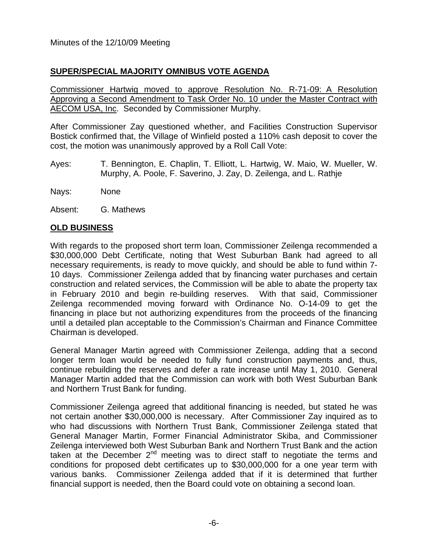# **SUPER/SPECIAL MAJORITY OMNIBUS VOTE AGENDA**

Commissioner Hartwig moved to approve Resolution No. R-71-09: A Resolution Approving a Second Amendment to Task Order No. 10 under the Master Contract with AECOM USA, Inc. Seconded by Commissioner Murphy.

After Commissioner Zay questioned whether, and Facilities Construction Supervisor Bostick confirmed that, the Village of Winfield posted a 110% cash deposit to cover the cost, the motion was unanimously approved by a Roll Call Vote:

Ayes: T. Bennington, E. Chaplin, T. Elliott, L. Hartwig, W. Maio, W. Mueller, W. Murphy, A. Poole, F. Saverino, J. Zay, D. Zeilenga, and L. Rathje

Nays: None

Absent: G. Mathews

## **OLD BUSINESS**

With regards to the proposed short term loan, Commissioner Zeilenga recommended a \$30,000,000 Debt Certificate, noting that West Suburban Bank had agreed to all necessary requirements, is ready to move quickly, and should be able to fund within 7- 10 days. Commissioner Zeilenga added that by financing water purchases and certain construction and related services, the Commission will be able to abate the property tax in February 2010 and begin re-building reserves. With that said, Commissioner Zeilenga recommended moving forward with Ordinance No. O-14-09 to get the financing in place but not authorizing expenditures from the proceeds of the financing until a detailed plan acceptable to the Commission's Chairman and Finance Committee Chairman is developed.

General Manager Martin agreed with Commissioner Zeilenga, adding that a second longer term loan would be needed to fully fund construction payments and, thus, continue rebuilding the reserves and defer a rate increase until May 1, 2010. General Manager Martin added that the Commission can work with both West Suburban Bank and Northern Trust Bank for funding.

Commissioner Zeilenga agreed that additional financing is needed, but stated he was not certain another \$30,000,000 is necessary. After Commissioner Zay inquired as to who had discussions with Northern Trust Bank, Commissioner Zeilenga stated that General Manager Martin, Former Financial Administrator Skiba, and Commissioner Zeilenga interviewed both West Suburban Bank and Northern Trust Bank and the action taken at the December  $2<sup>nd</sup>$  meeting was to direct staff to negotiate the terms and conditions for proposed debt certificates up to \$30,000,000 for a one year term with various banks. Commissioner Zeilenga added that if it is determined that further financial support is needed, then the Board could vote on obtaining a second loan.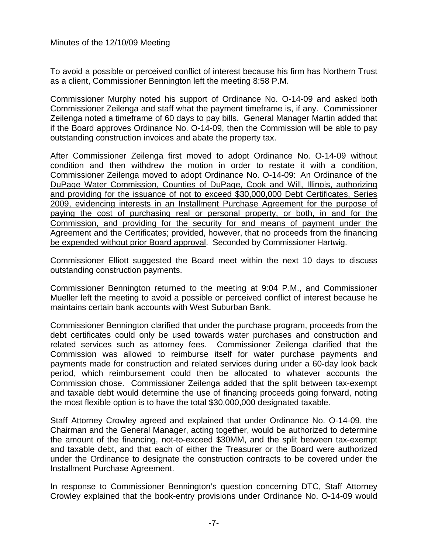To avoid a possible or perceived conflict of interest because his firm has Northern Trust as a client, Commissioner Bennington left the meeting 8:58 P.M.

Commissioner Murphy noted his support of Ordinance No. O-14-09 and asked both Commissioner Zeilenga and staff what the payment timeframe is, if any. Commissioner Zeilenga noted a timeframe of 60 days to pay bills. General Manager Martin added that if the Board approves Ordinance No. O-14-09, then the Commission will be able to pay outstanding construction invoices and abate the property tax.

After Commissioner Zeilenga first moved to adopt Ordinance No. O-14-09 without condition and then withdrew the motion in order to restate it with a condition, Commissioner Zeilenga moved to adopt Ordinance No. O-14-09: An Ordinance of the DuPage Water Commission, Counties of DuPage, Cook and Will, Illinois, authorizing and providing for the issuance of not to exceed \$30,000,000 Debt Certificates, Series 2009, evidencing interests in an Installment Purchase Agreement for the purpose of paying the cost of purchasing real or personal property, or both, in and for the Commission, and providing for the security for and means of payment under the Agreement and the Certificates; provided, however, that no proceeds from the financing be expended without prior Board approval. Seconded by Commissioner Hartwig.

Commissioner Elliott suggested the Board meet within the next 10 days to discuss outstanding construction payments.

Commissioner Bennington returned to the meeting at 9:04 P.M., and Commissioner Mueller left the meeting to avoid a possible or perceived conflict of interest because he maintains certain bank accounts with West Suburban Bank.

Commissioner Bennington clarified that under the purchase program, proceeds from the debt certificates could only be used towards water purchases and construction and related services such as attorney fees. Commissioner Zeilenga clarified that the Commission was allowed to reimburse itself for water purchase payments and payments made for construction and related services during under a 60-day look back period, which reimbursement could then be allocated to whatever accounts the Commission chose. Commissioner Zeilenga added that the split between tax-exempt and taxable debt would determine the use of financing proceeds going forward, noting the most flexible option is to have the total \$30,000,000 designated taxable.

Staff Attorney Crowley agreed and explained that under Ordinance No. O-14-09, the Chairman and the General Manager, acting together, would be authorized to determine the amount of the financing, not-to-exceed \$30MM, and the split between tax-exempt and taxable debt, and that each of either the Treasurer or the Board were authorized under the Ordinance to designate the construction contracts to be covered under the Installment Purchase Agreement.

In response to Commissioner Bennington's question concerning DTC, Staff Attorney Crowley explained that the book-entry provisions under Ordinance No. O-14-09 would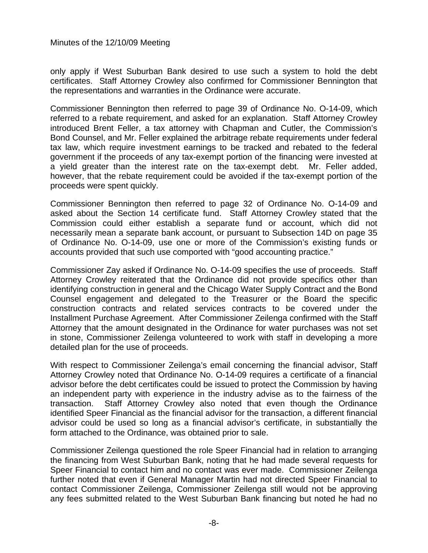only apply if West Suburban Bank desired to use such a system to hold the debt certificates. Staff Attorney Crowley also confirmed for Commissioner Bennington that the representations and warranties in the Ordinance were accurate.

Commissioner Bennington then referred to page 39 of Ordinance No. O-14-09, which referred to a rebate requirement, and asked for an explanation. Staff Attorney Crowley introduced Brent Feller, a tax attorney with Chapman and Cutler, the Commission's Bond Counsel, and Mr. Feller explained the arbitrage rebate requirements under federal tax law, which require investment earnings to be tracked and rebated to the federal government if the proceeds of any tax-exempt portion of the financing were invested at a yield greater than the interest rate on the tax-exempt debt. Mr. Feller added, however, that the rebate requirement could be avoided if the tax-exempt portion of the proceeds were spent quickly.

Commissioner Bennington then referred to page 32 of Ordinance No. O-14-09 and asked about the Section 14 certificate fund. Staff Attorney Crowley stated that the Commission could either establish a separate fund or account, which did not necessarily mean a separate bank account, or pursuant to Subsection 14D on page 35 of Ordinance No. O-14-09, use one or more of the Commission's existing funds or accounts provided that such use comported with "good accounting practice."

Commissioner Zay asked if Ordinance No. O-14-09 specifies the use of proceeds. Staff Attorney Crowley reiterated that the Ordinance did not provide specifics other than identifying construction in general and the Chicago Water Supply Contract and the Bond Counsel engagement and delegated to the Treasurer or the Board the specific construction contracts and related services contracts to be covered under the Installment Purchase Agreement. After Commissioner Zeilenga confirmed with the Staff Attorney that the amount designated in the Ordinance for water purchases was not set in stone, Commissioner Zeilenga volunteered to work with staff in developing a more detailed plan for the use of proceeds.

With respect to Commissioner Zeilenga's email concerning the financial advisor, Staff Attorney Crowley noted that Ordinance No. O-14-09 requires a certificate of a financial advisor before the debt certificates could be issued to protect the Commission by having an independent party with experience in the industry advise as to the fairness of the transaction. Staff Attorney Crowley also noted that even though the Ordinance identified Speer Financial as the financial advisor for the transaction, a different financial advisor could be used so long as a financial advisor's certificate, in substantially the form attached to the Ordinance, was obtained prior to sale.

Commissioner Zeilenga questioned the role Speer Financial had in relation to arranging the financing from West Suburban Bank, noting that he had made several requests for Speer Financial to contact him and no contact was ever made. Commissioner Zeilenga further noted that even if General Manager Martin had not directed Speer Financial to contact Commissioner Zeilenga, Commissioner Zeilenga still would not be approving any fees submitted related to the West Suburban Bank financing but noted he had no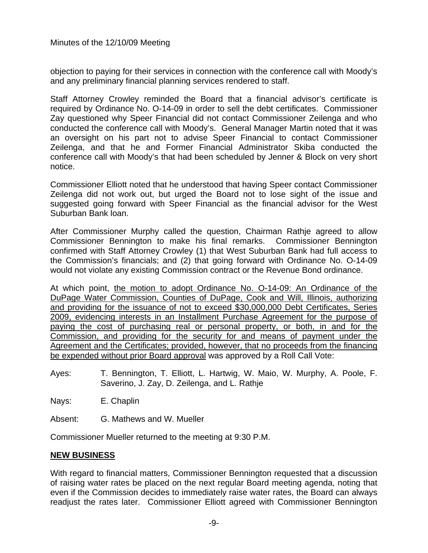objection to paying for their services in connection with the conference call with Moody's and any preliminary financial planning services rendered to staff.

Staff Attorney Crowley reminded the Board that a financial advisor's certificate is required by Ordinance No. O-14-09 in order to sell the debt certificates. Commissioner Zay questioned why Speer Financial did not contact Commissioner Zeilenga and who conducted the conference call with Moody's. General Manager Martin noted that it was an oversight on his part not to advise Speer Financial to contact Commissioner Zeilenga, and that he and Former Financial Administrator Skiba conducted the conference call with Moody's that had been scheduled by Jenner & Block on very short notice.

Commissioner Elliott noted that he understood that having Speer contact Commissioner Zeilenga did not work out, but urged the Board not to lose sight of the issue and suggested going forward with Speer Financial as the financial advisor for the West Suburban Bank loan.

After Commissioner Murphy called the question, Chairman Rathje agreed to allow Commissioner Bennington to make his final remarks. Commissioner Bennington confirmed with Staff Attorney Crowley (1) that West Suburban Bank had full access to the Commission's financials; and (2) that going forward with Ordinance No. O-14-09 would not violate any existing Commission contract or the Revenue Bond ordinance.

At which point, the motion to adopt Ordinance No. O-14-09: An Ordinance of the DuPage Water Commission, Counties of DuPage, Cook and Will, Illinois, authorizing and providing for the issuance of not to exceed \$30,000,000 Debt Certificates, Series 2009, evidencing interests in an Installment Purchase Agreement for the purpose of paying the cost of purchasing real or personal property, or both, in and for the Commission, and providing for the security for and means of payment under the Agreement and the Certificates; provided, however, that no proceeds from the financing be expended without prior Board approval was approved by a Roll Call Vote:

Ayes: T. Bennington, T. Elliott, L. Hartwig, W. Maio, W. Murphy, A. Poole, F. Saverino, J. Zay, D. Zeilenga, and L. Rathje

Nays: E. Chaplin

Absent: G. Mathews and W. Mueller

Commissioner Mueller returned to the meeting at 9:30 P.M.

### **NEW BUSINESS**

With regard to financial matters, Commissioner Bennington requested that a discussion of raising water rates be placed on the next regular Board meeting agenda, noting that even if the Commission decides to immediately raise water rates, the Board can always readjust the rates later. Commissioner Elliott agreed with Commissioner Bennington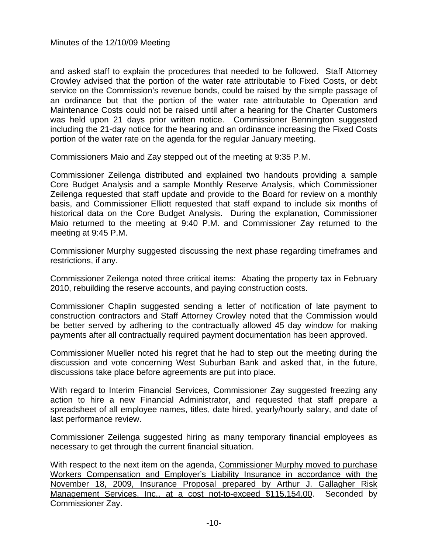and asked staff to explain the procedures that needed to be followed. Staff Attorney Crowley advised that the portion of the water rate attributable to Fixed Costs, or debt service on the Commission's revenue bonds, could be raised by the simple passage of an ordinance but that the portion of the water rate attributable to Operation and Maintenance Costs could not be raised until after a hearing for the Charter Customers was held upon 21 days prior written notice. Commissioner Bennington suggested including the 21-day notice for the hearing and an ordinance increasing the Fixed Costs portion of the water rate on the agenda for the regular January meeting.

Commissioners Maio and Zay stepped out of the meeting at 9:35 P.M.

Commissioner Zeilenga distributed and explained two handouts providing a sample Core Budget Analysis and a sample Monthly Reserve Analysis, which Commissioner Zeilenga requested that staff update and provide to the Board for review on a monthly basis, and Commissioner Elliott requested that staff expand to include six months of historical data on the Core Budget Analysis. During the explanation, Commissioner Maio returned to the meeting at 9:40 P.M. and Commissioner Zay returned to the meeting at 9:45 P.M.

Commissioner Murphy suggested discussing the next phase regarding timeframes and restrictions, if any.

Commissioner Zeilenga noted three critical items: Abating the property tax in February 2010, rebuilding the reserve accounts, and paying construction costs.

Commissioner Chaplin suggested sending a letter of notification of late payment to construction contractors and Staff Attorney Crowley noted that the Commission would be better served by adhering to the contractually allowed 45 day window for making payments after all contractually required payment documentation has been approved.

Commissioner Mueller noted his regret that he had to step out the meeting during the discussion and vote concerning West Suburban Bank and asked that, in the future, discussions take place before agreements are put into place.

With regard to Interim Financial Services, Commissioner Zay suggested freezing any action to hire a new Financial Administrator, and requested that staff prepare a spreadsheet of all employee names, titles, date hired, yearly/hourly salary, and date of last performance review.

Commissioner Zeilenga suggested hiring as many temporary financial employees as necessary to get through the current financial situation.

With respect to the next item on the agenda, Commissioner Murphy moved to purchase Workers Compensation and Employer's Liability Insurance in accordance with the November 18, 2009, Insurance Proposal prepared by Arthur J. Gallagher Risk Management Services, Inc., at a cost not-to-exceed \$115,154.00. Seconded by Commissioner Zay.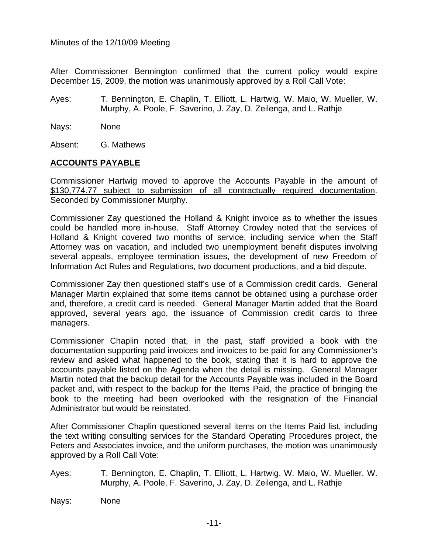After Commissioner Bennington confirmed that the current policy would expire December 15, 2009, the motion was unanimously approved by a Roll Call Vote:

- Ayes: T. Bennington, E. Chaplin, T. Elliott, L. Hartwig, W. Maio, W. Mueller, W. Murphy, A. Poole, F. Saverino, J. Zay, D. Zeilenga, and L. Rathje
- Nays: None

Absent: G. Mathews

## **ACCOUNTS PAYABLE**

Commissioner Hartwig moved to approve the Accounts Payable in the amount of \$130,774.77 subject to submission of all contractually required documentation. Seconded by Commissioner Murphy.

Commissioner Zay questioned the Holland & Knight invoice as to whether the issues could be handled more in-house. Staff Attorney Crowley noted that the services of Holland & Knight covered two months of service, including service when the Staff Attorney was on vacation, and included two unemployment benefit disputes involving several appeals, employee termination issues, the development of new Freedom of Information Act Rules and Regulations, two document productions, and a bid dispute.

Commissioner Zay then questioned staff's use of a Commission credit cards. General Manager Martin explained that some items cannot be obtained using a purchase order and, therefore, a credit card is needed. General Manager Martin added that the Board approved, several years ago, the issuance of Commission credit cards to three managers.

Commissioner Chaplin noted that, in the past, staff provided a book with the documentation supporting paid invoices and invoices to be paid for any Commissioner's review and asked what happened to the book, stating that it is hard to approve the accounts payable listed on the Agenda when the detail is missing. General Manager Martin noted that the backup detail for the Accounts Payable was included in the Board packet and, with respect to the backup for the Items Paid, the practice of bringing the book to the meeting had been overlooked with the resignation of the Financial Administrator but would be reinstated.

After Commissioner Chaplin questioned several items on the Items Paid list, including the text writing consulting services for the Standard Operating Procedures project, the Peters and Associates invoice, and the uniform purchases, the motion was unanimously approved by a Roll Call Vote:

- Ayes: T. Bennington, E. Chaplin, T. Elliott, L. Hartwig, W. Maio, W. Mueller, W. Murphy, A. Poole, F. Saverino, J. Zay, D. Zeilenga, and L. Rathje
- Nays: None